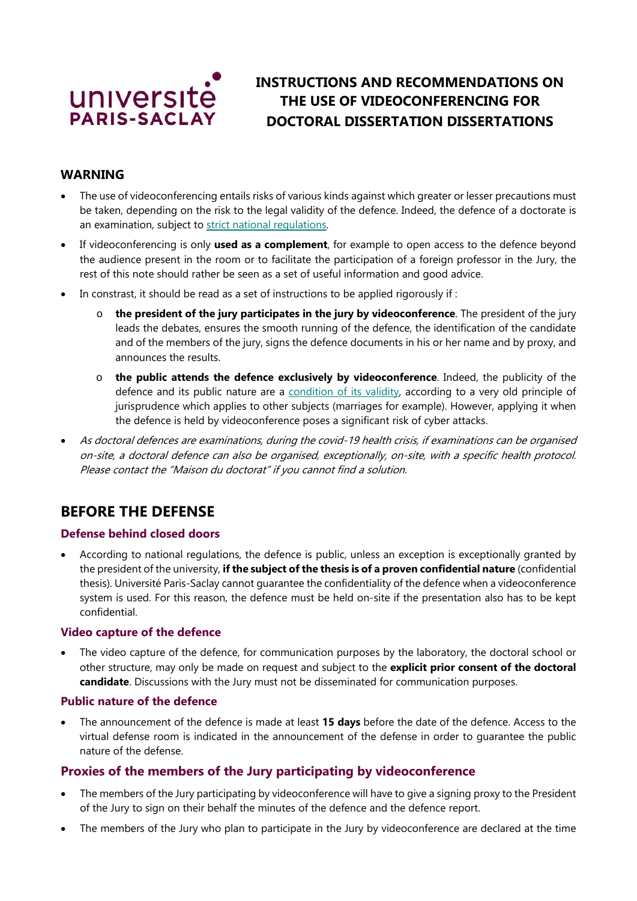

# **INSTRUCTIONS AND RECOMMENDATIONS ON THE USE OF VIDEOCONFERENCING FOR DOCTORAL DISSERTATION DISSERTATIONS**

### **WARNING**

- The use of videoconferencing entails risks of various kinds against which greater or lesser precautions must be taken, depending on the risk to the legal validity of the defence. Indeed, the defence of a doctorate is an examination, subject to [strict national regulations.](https://www.legifrance.gouv.fr/loda/id/JORFTEXT000032587086/2020-12-03/)
- If videoconferencing is only **used as a complement**, for example to open access to the defence beyond the audience present in the room or to facilitate the participation of a foreign professor in the Jury, the rest of this note should rather be seen as a set of useful information and good advice.
- In constrast, it should be read as a set of instructions to be applied rigorously if :
	- o **the president of the jury participates in the jury by videoconference**. The president of the jury leads the debates, ensures the smooth running of the defence, the identification of the candidate and of the members of the jury, signs the defence documents in his or her name and by proxy, and announces the results.
	- o **the public attends the defence exclusively by videoconference**. Indeed, the publicity of the defence and its public nature are a [condition of its validity,](https://www.legifrance.gouv.fr/loda/article_lc/LEGIARTI000042487965) according to a very old principle of jurisprudence which applies to other subjects (marriages for example). However, applying it when the defence is held by videoconference poses a significant risk of cyber attacks.
- As doctoral defences are examinations, during the covid-19 health crisis, if examinations can be organised on-site, a doctoral defence can also be organised, exceptionally, on-site, with a specific health protocol. Please contact the "Maison du doctorat" if you cannot find a solution.

# **BEFORE THE DEFENSE**

### **Defense behind closed doors**

• According to national regulations, the defence is public, unless an exception is exceptionally granted by the president of the university, **if the subject of the thesis is of a proven confidential nature** (confidential thesis). Université Paris-Saclay cannot guarantee the confidentiality of the defence when a videoconference system is used. For this reason, the defence must be held on-site if the presentation also has to be kept confidential.

### **Video capture of the defence**

• The video capture of the defence, for communication purposes by the laboratory, the doctoral school or other structure, may only be made on request and subject to the **explicit prior consent of the doctoral candidate**. Discussions with the Jury must not be disseminated for communication purposes.

#### **Public nature of the defence**

• The announcement of the defence is made at least **15 days** before the date of the defence. Access to the virtual defense room is indicated in the announcement of the defense in order to guarantee the public nature of the defense.

# **Proxies of the members of the Jury participating by videoconference**

- The members of the Jury participating by videoconference will have to give a signing proxy to the President of the Jury to sign on their behalf the minutes of the defence and the defence report.
- The members of the Jury who plan to participate in the Jury by videoconference are declared at the time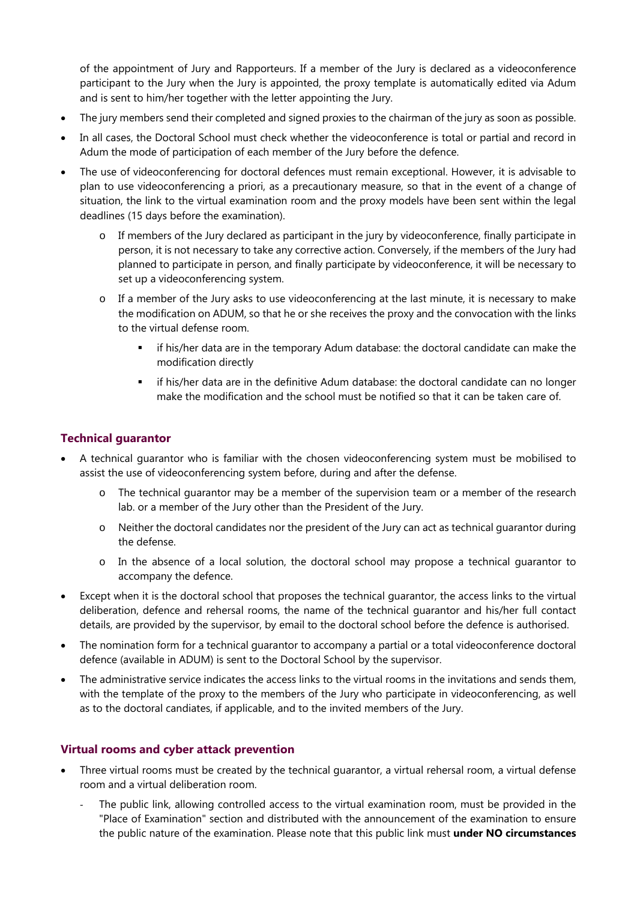of the appointment of Jury and Rapporteurs. If a member of the Jury is declared as a videoconference participant to the Jury when the Jury is appointed, the proxy template is automatically edited via Adum and is sent to him/her together with the letter appointing the Jury.

- The jury members send their completed and signed proxies to the chairman of the jury as soon as possible.
- In all cases, the Doctoral School must check whether the videoconference is total or partial and record in Adum the mode of participation of each member of the Jury before the defence.
- The use of videoconferencing for doctoral defences must remain exceptional. However, it is advisable to plan to use videoconferencing a priori, as a precautionary measure, so that in the event of a change of situation, the link to the virtual examination room and the proxy models have been sent within the legal deadlines (15 days before the examination).
	- o If members of the Jury declared as participant in the jury by videoconference, finally participate in person, it is not necessary to take any corrective action. Conversely, if the members of the Jury had planned to participate in person, and finally participate by videoconference, it will be necessary to set up a videoconferencing system.
	- o If a member of the Jury asks to use videoconferencing at the last minute, it is necessary to make the modification on ADUM, so that he or she receives the proxy and the convocation with the links to the virtual defense room.
		- if his/her data are in the temporary Adum database: the doctoral candidate can make the modification directly
		- if his/her data are in the definitive Adum database: the doctoral candidate can no longer make the modification and the school must be notified so that it can be taken care of.

# **Technical guarantor**

- A technical guarantor who is familiar with the chosen videoconferencing system must be mobilised to assist the use of videoconferencing system before, during and after the defense.
	- o The technical guarantor may be a member of the supervision team or a member of the research lab. or a member of the Jury other than the President of the Jury.
	- o Neither the doctoral candidates nor the president of the Jury can act as technical guarantor during the defense.
	- o In the absence of a local solution, the doctoral school may propose a technical guarantor to accompany the defence.
- Except when it is the doctoral school that proposes the technical guarantor, the access links to the virtual deliberation, defence and rehersal rooms, the name of the technical guarantor and his/her full contact details, are provided by the supervisor, by email to the doctoral school before the defence is authorised.
- The nomination form for a technical guarantor to accompany a partial or a total videoconference doctoral defence (available in ADUM) is sent to the Doctoral School by the supervisor.
- The administrative service indicates the access links to the virtual rooms in the invitations and sends them, with the template of the proxy to the members of the Jury who participate in videoconferencing, as well as to the doctoral candiates, if applicable, and to the invited members of the Jury.

### **Virtual rooms and cyber attack prevention**

- Three virtual rooms must be created by the technical guarantor, a virtual rehersal room, a virtual defense room and a virtual deliberation room.
	- *-* The public link, allowing controlled access to the virtual examination room, must be provided in the "Place of Examination" section and distributed with the announcement of the examination to ensure the public nature of the examination. Please note that this public link must **under NO circumstances**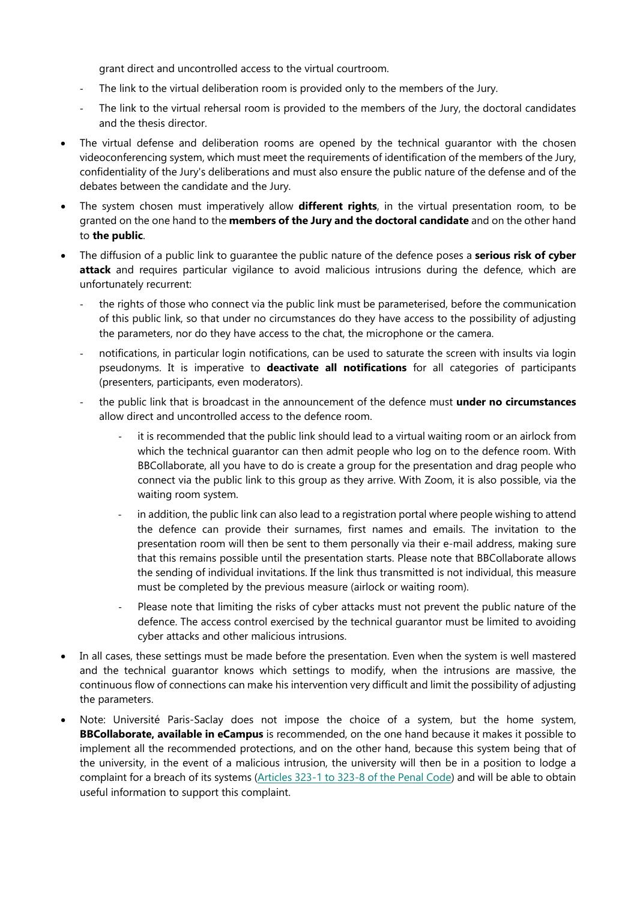grant direct and uncontrolled access to the virtual courtroom.

- *-* The link to the virtual deliberation room is provided only to the members of the Jury.
- The link to the virtual rehersal room is provided to the members of the Jury, the doctoral candidates and the thesis director.
- The virtual defense and deliberation rooms are opened by the technical guarantor with the chosen videoconferencing system, which must meet the requirements of identification of the members of the Jury, confidentiality of the Jury's deliberations and must also ensure the public nature of the defense and of the debates between the candidate and the Jury.
- The system chosen must imperatively allow **different rights**, in the virtual presentation room, to be granted on the one hand to the **members of the Jury and the doctoral candidate** and on the other hand to **the public**.
- The diffusion of a public link to guarantee the public nature of the defence poses a **serious risk of cyber attack** and requires particular vigilance to avoid malicious intrusions during the defence, which are unfortunately recurrent:
	- *-* the rights of those who connect via the public link must be parameterised, before the communication of this public link, so that under no circumstances do they have access to the possibility of adjusting the parameters, nor do they have access to the chat, the microphone or the camera.
	- *-* notifications, in particular login notifications, can be used to saturate the screen with insults via login pseudonyms. It is imperative to **deactivate all notifications** for all categories of participants (presenters, participants, even moderators).
	- *-* the public link that is broadcast in the announcement of the defence must **under no circumstances** allow direct and uncontrolled access to the defence room.
		- it is recommended that the public link should lead to a virtual waiting room or an airlock from which the technical guarantor can then admit people who log on to the defence room. With BBCollaborate, all you have to do is create a group for the presentation and drag people who connect via the public link to this group as they arrive. With Zoom, it is also possible, via the waiting room system.
		- *-* in addition, the public link can also lead to a registration portal where people wishing to attend the defence can provide their surnames, first names and emails. The invitation to the presentation room will then be sent to them personally via their e-mail address, making sure that this remains possible until the presentation starts. Please note that BBCollaborate allows the sending of individual invitations. If the link thus transmitted is not individual, this measure must be completed by the previous measure (airlock or waiting room).
		- Please note that limiting the risks of cyber attacks must not prevent the public nature of the defence. The access control exercised by the technical guarantor must be limited to avoiding cyber attacks and other malicious intrusions.
- In all cases, these settings must be made before the presentation. Even when the system is well mastered and the technical guarantor knows which settings to modify, when the intrusions are massive, the continuous flow of connections can make his intervention very difficult and limit the possibility of adjusting the parameters.
- Note: Université Paris-Saclay does not impose the choice of a system, but the home system, **BBCollaborate, available in eCampus** is recommended, on the one hand because it makes it possible to implement all the recommended protections, and on the other hand, because this system being that of the university, in the event of a malicious intrusion, the university will then be in a position to lodge a complaint for a breach of its systems [\(Articles 323-1 to 323-8 of the Penal Code\)](https://www.legifrance.gouv.fr/codes/id/LEGIARTI000030939438/2015-07-27/#:%7E:text=Article%20323%2D1,-Modifi%C3%A9%20par%20LOI&text=Le%20fait%20d) and will be able to obtain useful information to support this complaint.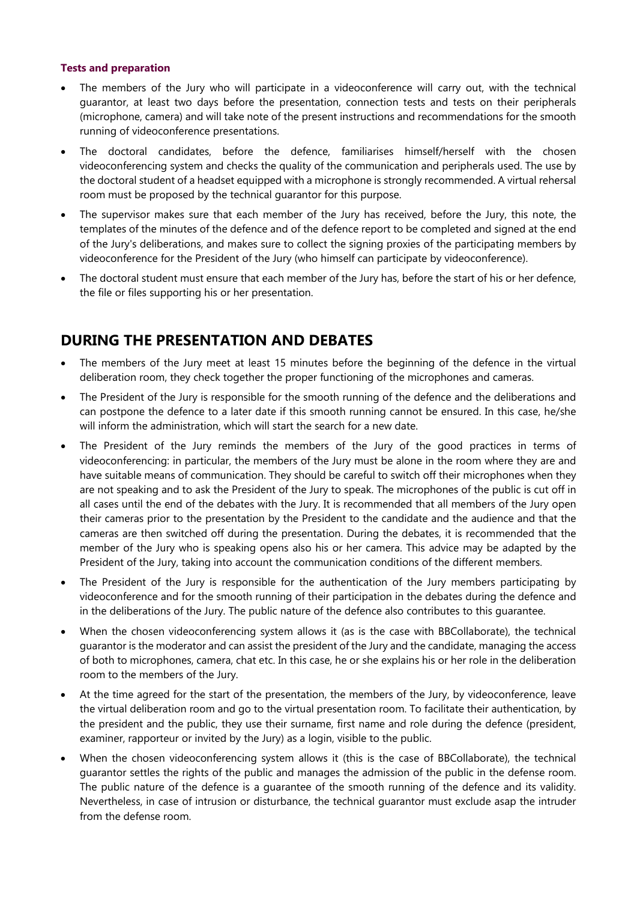#### **Tests and preparation**

- The members of the Jury who will participate in a videoconference will carry out, with the technical guarantor, at least two days before the presentation, connection tests and tests on their peripherals (microphone, camera) and will take note of the present instructions and recommendations for the smooth running of videoconference presentations.
- The doctoral candidates, before the defence, familiarises himself/herself with the chosen videoconferencing system and checks the quality of the communication and peripherals used. The use by the doctoral student of a headset equipped with a microphone is strongly recommended. A virtual rehersal room must be proposed by the technical guarantor for this purpose.
- The supervisor makes sure that each member of the Jury has received, before the Jury, this note, the templates of the minutes of the defence and of the defence report to be completed and signed at the end of the Jury's deliberations, and makes sure to collect the signing proxies of the participating members by videoconference for the President of the Jury (who himself can participate by videoconference).
- The doctoral student must ensure that each member of the Jury has, before the start of his or her defence, the file or files supporting his or her presentation.

# **DURING THE PRESENTATION AND DEBATES**

- The members of the Jury meet at least 15 minutes before the beginning of the defence in the virtual deliberation room, they check together the proper functioning of the microphones and cameras.
- The President of the Jury is responsible for the smooth running of the defence and the deliberations and can postpone the defence to a later date if this smooth running cannot be ensured. In this case, he/she will inform the administration, which will start the search for a new date.
- The President of the Jury reminds the members of the Jury of the good practices in terms of videoconferencing: in particular, the members of the Jury must be alone in the room where they are and have suitable means of communication. They should be careful to switch off their microphones when they are not speaking and to ask the President of the Jury to speak. The microphones of the public is cut off in all cases until the end of the debates with the Jury. It is recommended that all members of the Jury open their cameras prior to the presentation by the President to the candidate and the audience and that the cameras are then switched off during the presentation. During the debates, it is recommended that the member of the Jury who is speaking opens also his or her camera. This advice may be adapted by the President of the Jury, taking into account the communication conditions of the different members.
- The President of the Jury is responsible for the authentication of the Jury members participating by videoconference and for the smooth running of their participation in the debates during the defence and in the deliberations of the Jury. The public nature of the defence also contributes to this guarantee.
- When the chosen videoconferencing system allows it (as is the case with BBCollaborate), the technical guarantor is the moderator and can assist the president of the Jury and the candidate, managing the access of both to microphones, camera, chat etc. In this case, he or she explains his or her role in the deliberation room to the members of the Jury.
- At the time agreed for the start of the presentation, the members of the Jury, by videoconference, leave the virtual deliberation room and go to the virtual presentation room. To facilitate their authentication, by the president and the public, they use their surname, first name and role during the defence (president, examiner, rapporteur or invited by the Jury) as a login, visible to the public.
- When the chosen videoconferencing system allows it (this is the case of BBCollaborate), the technical guarantor settles the rights of the public and manages the admission of the public in the defense room. The public nature of the defence is a guarantee of the smooth running of the defence and its validity. Nevertheless, in case of intrusion or disturbance, the technical guarantor must exclude asap the intruder from the defense room.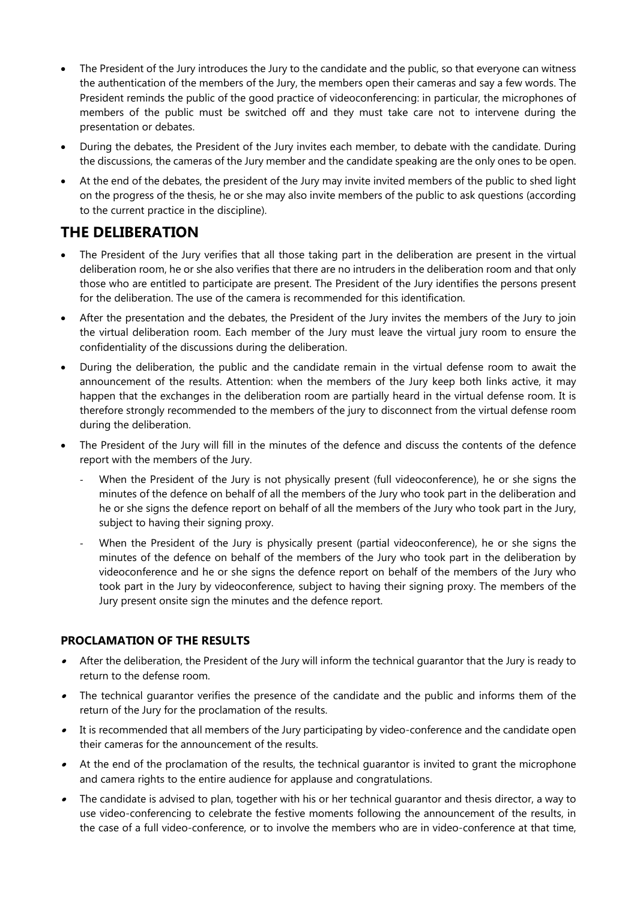- The President of the Jury introduces the Jury to the candidate and the public, so that everyone can witness the authentication of the members of the Jury, the members open their cameras and say a few words. The President reminds the public of the good practice of videoconferencing: in particular, the microphones of members of the public must be switched off and they must take care not to intervene during the presentation or debates.
- During the debates, the President of the Jury invites each member, to debate with the candidate. During the discussions, the cameras of the Jury member and the candidate speaking are the only ones to be open.
- At the end of the debates, the president of the Jury may invite invited members of the public to shed light on the progress of the thesis, he or she may also invite members of the public to ask questions (according to the current practice in the discipline).

# **THE DELIBERATION**

- The President of the Jury verifies that all those taking part in the deliberation are present in the virtual deliberation room, he or she also verifies that there are no intruders in the deliberation room and that only those who are entitled to participate are present. The President of the Jury identifies the persons present for the deliberation. The use of the camera is recommended for this identification.
- After the presentation and the debates, the President of the Jury invites the members of the Jury to join the virtual deliberation room. Each member of the Jury must leave the virtual jury room to ensure the confidentiality of the discussions during the deliberation.
- During the deliberation, the public and the candidate remain in the virtual defense room to await the announcement of the results. Attention: when the members of the Jury keep both links active, it may happen that the exchanges in the deliberation room are partially heard in the virtual defense room. It is therefore strongly recommended to the members of the jury to disconnect from the virtual defense room during the deliberation.
- The President of the Jury will fill in the minutes of the defence and discuss the contents of the defence report with the members of the Jury.
	- When the President of the Jury is not physically present (full videoconference), he or she signs the minutes of the defence on behalf of all the members of the Jury who took part in the deliberation and he or she signs the defence report on behalf of all the members of the Jury who took part in the Jury, subject to having their signing proxy.
	- When the President of the Jury is physically present (partial videoconference), he or she signs the minutes of the defence on behalf of the members of the Jury who took part in the deliberation by videoconference and he or she signs the defence report on behalf of the members of the Jury who took part in the Jury by videoconference, subject to having their signing proxy. The members of the Jury present onsite sign the minutes and the defence report.

# **PROCLAMATION OF THE RESULTS**

- After the deliberation, the President of the Jury will inform the technical guarantor that the Jury is ready to return to the defense room.
- The technical guarantor verifies the presence of the candidate and the public and informs them of the return of the Jury for the proclamation of the results.
- It is recommended that all members of the Jury participating by video-conference and the candidate open their cameras for the announcement of the results.
- At the end of the proclamation of the results, the technical guarantor is invited to grant the microphone and camera rights to the entire audience for applause and congratulations.
- The candidate is advised to plan, together with his or her technical guarantor and thesis director, a way to use video-conferencing to celebrate the festive moments following the announcement of the results, in the case of a full video-conference, or to involve the members who are in video-conference at that time,